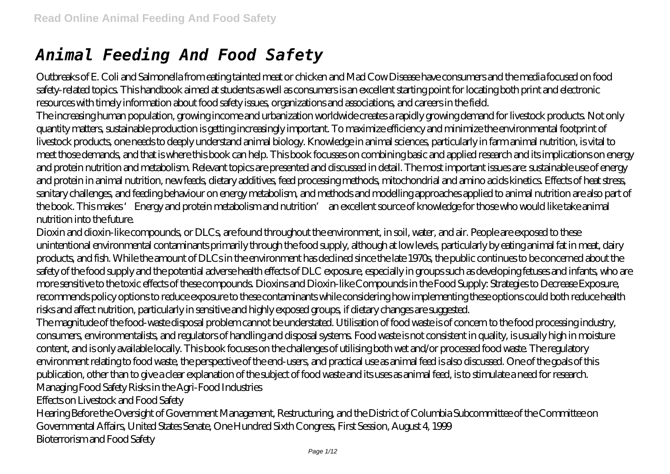# *Animal Feeding And Food Safety*

Outbreaks of E. Coli and Salmonella from eating tainted meat or chicken and Mad Cow Disease have consumers and the media focused on food safety-related topics. This handbook aimed at students as well as consumers is an excellent starting point for locating both print and electronic resources with timely information about food safety issues, organizations and associations, and careers in the field.

The increasing human population, growing income and urbanization worldwide creates a rapidly growing demand for livestock products. Not only quantity matters, sustainable production is getting increasingly important. To maximize efficiency and minimize the environmental footprint of livestock products, one needs to deeply understand animal biology. Knowledge in animal sciences, particularly in farm animal nutrition, is vital to meet those demands, and that is where this book can help. This book focusses on combining basic and applied research and its implications on energy and protein nutrition and metabolism. Relevant topics are presented and discussed in detail. The most important issues are: sustainable use of energy and protein in animal nutrition, new feeds, dietary additives, feed processing methods, mitochondrial and amino acids kinetics. Effects of heat stress, sanitary challenges, and feeding behaviour on energy metabolism, and methods and modelling approaches applied to animal nutrition are also part of the book. This makes 'Energy and protein metabolism and nutrition' an excellent source of knowledge for those who would like take animal nutrition into the future.

Dioxin and dioxin-like compounds, or DLCs, are found throughout the environment, in soil, water, and air. People are exposed to these unintentional environmental contaminants primarily through the food supply, although at low levels, particularly by eating animal fat in meat, dairy products, and fish. While the amount of DLCs in the environment has declined since the late 1970s, the public continues to be concerned about the safety of the food supply and the potential adverse health effects of DLC exposure, especially in groups such as developing fetuses and infants, who are more sensitive to the toxic effects of these compounds. Dioxins and Dioxin-like Compounds in the Food Supply: Strategies to Decrease Exposure, recommends policy options to reduce exposure to these contaminants while considering how implementing these options could both reduce health risks and affect nutrition, particularly in sensitive and highly exposed groups, if dietary changes are suggested.

The magnitude of the food-waste disposal problem cannot be understated. Utilisation of food waste is of concern to the food processing industry, consumers, environmentalists, and regulators of handling and disposal systems. Food waste is not consistent in quality, is usually high in moisture content, and is only available locally. This book focuses on the challenges of utilising both wet and/or processed food waste. The regulatory environment relating to food waste, the perspective of the end-users, and practical use as animal feed is also discussed. One of the goals of this publication, other than to give a clear explanation of the subject of food waste and its uses as animal feed, is to stimulate a need for research. Managing Food Safety Risks in the Agri-Food Industries

Effects on Livestock and Food Safety

Hearing Before the Oversight of Government Management, Restructuring, and the District of Columbia Subcommittee of the Committee on Governmental Affairs, United States Senate, One Hundred Sixth Congress, First Session, August 4, 1999 Bioterrorism and Food Safety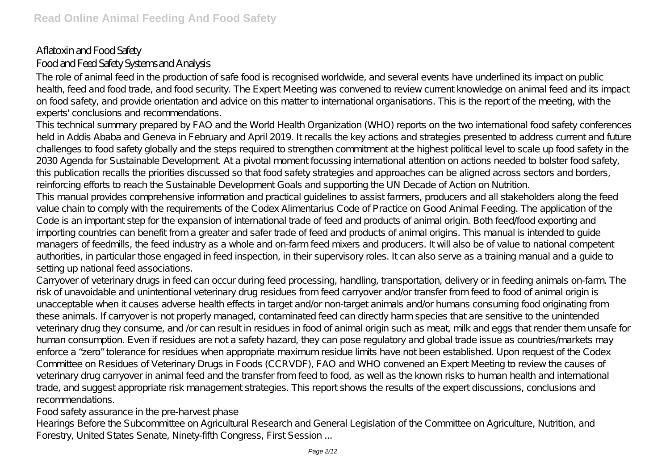# Aflatoxin and Food Safety Food and Feed Safety Systems and Analysis

The role of animal feed in the production of safe food is recognised worldwide, and several events have underlined its impact on public health, feed and food trade, and food security. The Expert Meeting was convened to review current knowledge on animal feed and its impact on food safety, and provide orientation and advice on this matter to international organisations. This is the report of the meeting, with the experts' conclusions and recommendations.

This technical summary prepared by FAO and the World Health Organization (WHO) reports on the two international food safety conferences held in Addis Ababa and Geneva in February and April 2019. It recalls the key actions and strategies presented to address current and future challenges to food safety globally and the steps required to strengthen commitment at the highest political level to scale up food safety in the 2030 Agenda for Sustainable Development. At a pivotal moment focussing international attention on actions needed to bolster food safety, this publication recalls the priorities discussed so that food safety strategies and approaches can be aligned across sectors and borders, reinforcing efforts to reach the Sustainable Development Goals and supporting the UN Decade of Action on Nutrition.

This manual provides comprehensive information and practical guidelines to assist farmers, producers and all stakeholders along the feed value chain to comply with the requirements of the Codex Alimentarius Code of Practice on Good Animal Feeding. The application of the Code is an important step for the expansion of international trade of feed and products of animal origin. Both feed/food exporting and importing countries can benefit from a greater and safer trade of feed and products of animal origins. This manual is intended to guide managers of feedmills, the feed industry as a whole and on-farm feed mixers and producers. It will also be of value to national competent authorities, in particular those engaged in feed inspection, in their supervisory roles. It can also serve as a training manual and a guide to setting up national feed associations.

Carryover of veterinary drugs in feed can occur during feed processing, handling, transportation, delivery or in feeding animals on-farm. The risk of unavoidable and unintentional veterinary drug residues from feed carryover and/or transfer from feed to food of animal origin is unacceptable when it causes adverse health effects in target and/or non-target animals and/or humans consuming food originating from these animals. If carryover is not properly managed, contaminated feed can directly harm species that are sensitive to the unintended veterinary drug they consume, and /or can result in residues in food of animal origin such as meat, milk and eggs that render them unsafe for human consumption. Even if residues are not a safety hazard, they can pose regulatory and global trade issue as countries/markets may enforce a "zero" tolerance for residues when appropriate maximum residue limits have not been established. Upon request of the Codex Committee on Residues of Veterinary Drugs in Foods (CCRVDF), FAO and WHO convened an Expert Meeting to review the causes of veterinary drug carryover in animal feed and the transfer from feed to food, as well as the known risks to human health and international trade, and suggest appropriate risk management strategies. This report shows the results of the expert discussions, conclusions and recommendations.

Food safety assurance in the pre-harvest phase

Hearings Before the Subcommittee on Agricultural Research and General Legislation of the Committee on Agriculture, Nutrition, and Forestry, United States Senate, Ninety-fifth Congress, First Session ...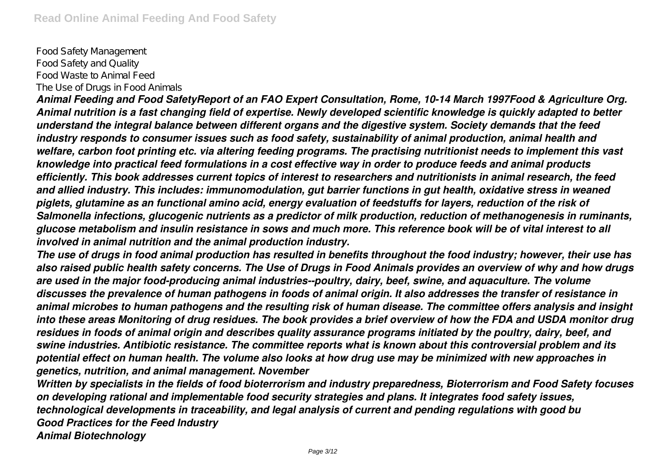Food Safety Management Food Safety and Quality Food Waste to Animal Feed The Use of Drugs in Food Animals

*Animal Feeding and Food SafetyReport of an FAO Expert Consultation, Rome, 10-14 March 1997Food & Agriculture Org. Animal nutrition is a fast changing field of expertise. Newly developed scientific knowledge is quickly adapted to better understand the integral balance between different organs and the digestive system. Society demands that the feed industry responds to consumer issues such as food safety, sustainability of animal production, animal health and welfare, carbon foot printing etc. via altering feeding programs. The practising nutritionist needs to implement this vast knowledge into practical feed formulations in a cost effective way in order to produce feeds and animal products efficiently. This book addresses current topics of interest to researchers and nutritionists in animal research, the feed and allied industry. This includes: immunomodulation, gut barrier functions in gut health, oxidative stress in weaned piglets, glutamine as an functional amino acid, energy evaluation of feedstuffs for layers, reduction of the risk of Salmonella infections, glucogenic nutrients as a predictor of milk production, reduction of methanogenesis in ruminants, glucose metabolism and insulin resistance in sows and much more. This reference book will be of vital interest to all involved in animal nutrition and the animal production industry.*

*The use of drugs in food animal production has resulted in benefits throughout the food industry; however, their use has also raised public health safety concerns. The Use of Drugs in Food Animals provides an overview of why and how drugs are used in the major food-producing animal industries--poultry, dairy, beef, swine, and aquaculture. The volume discusses the prevalence of human pathogens in foods of animal origin. It also addresses the transfer of resistance in animal microbes to human pathogens and the resulting risk of human disease. The committee offers analysis and insight into these areas Monitoring of drug residues. The book provides a brief overview of how the FDA and USDA monitor drug residues in foods of animal origin and describes quality assurance programs initiated by the poultry, dairy, beef, and swine industries. Antibiotic resistance. The committee reports what is known about this controversial problem and its potential effect on human health. The volume also looks at how drug use may be minimized with new approaches in genetics, nutrition, and animal management. November*

*Written by specialists in the fields of food bioterrorism and industry preparedness, Bioterrorism and Food Safety focuses on developing rational and implementable food security strategies and plans. It integrates food safety issues, technological developments in traceability, and legal analysis of current and pending regulations with good bu Good Practices for the Feed Industry Animal Biotechnology*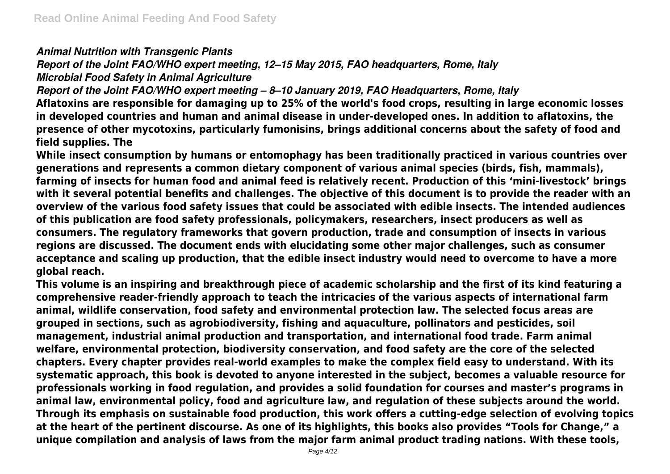### *Animal Nutrition with Transgenic Plants*

*Report of the Joint FAO/WHO expert meeting, 12–15 May 2015, FAO headquarters, Rome, Italy*

*Microbial Food Safety in Animal Agriculture*

*Report of the Joint FAO/WHO expert meeting – 8–10 January 2019, FAO Headquarters, Rome, Italy*

**Aflatoxins are responsible for damaging up to 25% of the world's food crops, resulting in large economic losses in developed countries and human and animal disease in under-developed ones. In addition to aflatoxins, the presence of other mycotoxins, particularly fumonisins, brings additional concerns about the safety of food and field supplies. The**

**While insect consumption by humans or entomophagy has been traditionally practiced in various countries over generations and represents a common dietary component of various animal species (birds, fish, mammals), farming of insects for human food and animal feed is relatively recent. Production of this 'mini-livestock' brings with it several potential benefits and challenges. The objective of this document is to provide the reader with an overview of the various food safety issues that could be associated with edible insects. The intended audiences of this publication are food safety professionals, policymakers, researchers, insect producers as well as consumers. The regulatory frameworks that govern production, trade and consumption of insects in various regions are discussed. The document ends with elucidating some other major challenges, such as consumer acceptance and scaling up production, that the edible insect industry would need to overcome to have a more global reach.**

**This volume is an inspiring and breakthrough piece of academic scholarship and the first of its kind featuring a comprehensive reader-friendly approach to teach the intricacies of the various aspects of international farm animal, wildlife conservation, food safety and environmental protection law. The selected focus areas are grouped in sections, such as agrobiodiversity, fishing and aquaculture, pollinators and pesticides, soil management, industrial animal production and transportation, and international food trade. Farm animal welfare, environmental protection, biodiversity conservation, and food safety are the core of the selected chapters. Every chapter provides real-world examples to make the complex field easy to understand. With its systematic approach, this book is devoted to anyone interested in the subject, becomes a valuable resource for professionals working in food regulation, and provides a solid foundation for courses and master's programs in animal law, environmental policy, food and agriculture law, and regulation of these subjects around the world. Through its emphasis on sustainable food production, this work offers a cutting-edge selection of evolving topics at the heart of the pertinent discourse. As one of its highlights, this books also provides "Tools for Change," a unique compilation and analysis of laws from the major farm animal product trading nations. With these tools,**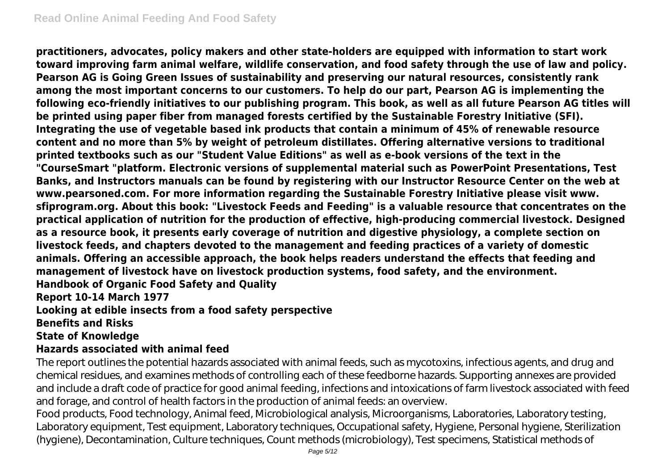**practitioners, advocates, policy makers and other state-holders are equipped with information to start work toward improving farm animal welfare, wildlife conservation, and food safety through the use of law and policy. Pearson AG is Going Green Issues of sustainability and preserving our natural resources, consistently rank among the most important concerns to our customers. To help do our part, Pearson AG is implementing the following eco-friendly initiatives to our publishing program. This book, as well as all future Pearson AG titles will be printed using paper fiber from managed forests certified by the Sustainable Forestry Initiative (SFI). Integrating the use of vegetable based ink products that contain a minimum of 45% of renewable resource content and no more than 5% by weight of petroleum distillates. Offering alternative versions to traditional printed textbooks such as our "Student Value Editions" as well as e-book versions of the text in the "CourseSmart "platform. Electronic versions of supplemental material such as PowerPoint Presentations, Test Banks, and Instructors manuals can be found by registering with our Instructor Resource Center on the web at www.pearsoned.com. For more information regarding the Sustainable Forestry Initiative please visit www. sfiprogram.org. About this book: "Livestock Feeds and Feeding" is a valuable resource that concentrates on the practical application of nutrition for the production of effective, high-producing commercial livestock. Designed as a resource book, it presents early coverage of nutrition and digestive physiology, a complete section on livestock feeds, and chapters devoted to the management and feeding practices of a variety of domestic animals. Offering an accessible approach, the book helps readers understand the effects that feeding and management of livestock have on livestock production systems, food safety, and the environment. Handbook of Organic Food Safety and Quality Report 10-14 March 1977**

**Looking at edible insects from a food safety perspective**

#### **Benefits and Risks**

#### **State of Knowledge**

#### **Hazards associated with animal feed**

The report outlines the potential hazards associated with animal feeds, such as mycotoxins, infectious agents, and drug and chemical residues, and examines methods of controlling each of these feedborne hazards. Supporting annexes are provided and include a draft code of practice for good animal feeding, infections and intoxications of farm livestock associated with feed and forage, and control of health factors in the production of animal feeds: an overview.

Food products, Food technology, Animal feed, Microbiological analysis, Microorganisms, Laboratories, Laboratory testing, Laboratory equipment, Test equipment, Laboratory techniques, Occupational safety, Hygiene, Personal hygiene, Sterilization (hygiene), Decontamination, Culture techniques, Count methods (microbiology), Test specimens, Statistical methods of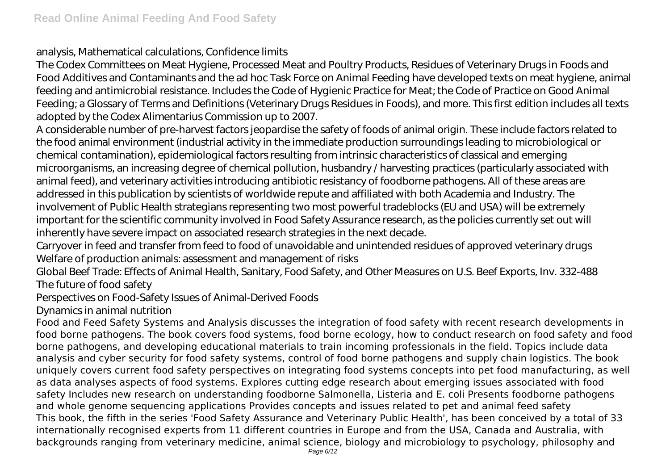analysis, Mathematical calculations, Confidence limits

The Codex Committees on Meat Hygiene, Processed Meat and Poultry Products, Residues of Veterinary Drugs in Foods and Food Additives and Contaminants and the ad hoc Task Force on Animal Feeding have developed texts on meat hygiene, animal feeding and antimicrobial resistance. Includes the Code of Hygienic Practice for Meat; the Code of Practice on Good Animal Feeding; a Glossary of Terms and Definitions (Veterinary Drugs Residues in Foods), and more. This first edition includes all texts adopted by the Codex Alimentarius Commission up to 2007.

A considerable number of pre-harvest factors jeopardise the safety of foods of animal origin. These include factors related to the food animal environment (industrial activity in the immediate production surroundings leading to microbiological or chemical contamination), epidemiological factors resulting from intrinsic characteristics of classical and emerging microorganisms, an increasing degree of chemical pollution, husbandry / harvesting practices (particularly associated with animal feed), and veterinary activities introducing antibiotic resistancy of foodborne pathogens. All of these areas are addressed in this publication by scientists of worldwide repute and affiliated with both Academia and Industry. The involvement of Public Health strategians representing two most powerful tradeblocks (EU and USA) will be extremely important for the scientific community involved in Food Safety Assurance research, as the policies currently set out will inherently have severe impact on associated research strategies in the next decade.

Carryover in feed and transfer from feed to food of unavoidable and unintended residues of approved veterinary drugs Welfare of production animals: assessment and management of risks

Global Beef Trade: Effects of Animal Health, Sanitary, Food Safety, and Other Measures on U.S. Beef Exports, Inv. 332-488 The future of food safety

Perspectives on Food-Safety Issues of Animal-Derived Foods

Dynamics in animal nutrition

Food and Feed Safety Systems and Analysis discusses the integration of food safety with recent research developments in food borne pathogens. The book covers food systems, food borne ecology, how to conduct research on food safety and food borne pathogens, and developing educational materials to train incoming professionals in the field. Topics include data analysis and cyber security for food safety systems, control of food borne pathogens and supply chain logistics. The book uniquely covers current food safety perspectives on integrating food systems concepts into pet food manufacturing, as well as data analyses aspects of food systems. Explores cutting edge research about emerging issues associated with food safety Includes new research on understanding foodborne Salmonella, Listeria and E. coli Presents foodborne pathogens and whole genome sequencing applications Provides concepts and issues related to pet and animal feed safety This book, the fifth in the series 'Food Safety Assurance and Veterinary Public Health', has been conceived by a total of 33 internationally recognised experts from 11 different countries in Europe and from the USA, Canada and Australia, with backgrounds ranging from veterinary medicine, animal science, biology and microbiology to psychology, philosophy and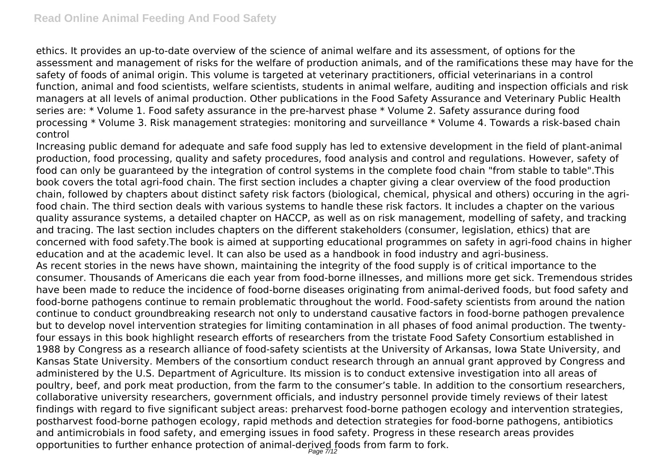ethics. It provides an up-to-date overview of the science of animal welfare and its assessment, of options for the assessment and management of risks for the welfare of production animals, and of the ramifications these may have for the safety of foods of animal origin. This volume is targeted at veterinary practitioners, official veterinarians in a control function, animal and food scientists, welfare scientists, students in animal welfare, auditing and inspection officials and risk managers at all levels of animal production. Other publications in the Food Safety Assurance and Veterinary Public Health series are: \* Volume 1. Food safety assurance in the pre-harvest phase \* Volume 2. Safety assurance during food processing \* Volume 3. Risk management strategies: monitoring and surveillance \* Volume 4. Towards a risk-based chain control

Increasing public demand for adequate and safe food supply has led to extensive development in the field of plant-animal production, food processing, quality and safety procedures, food analysis and control and regulations. However, safety of food can only be guaranteed by the integration of control systems in the complete food chain "from stable to table".This book covers the total agri-food chain. The first section includes a chapter giving a clear overview of the food production chain, followed by chapters about distinct safety risk factors (biological, chemical, physical and others) occuring in the agrifood chain. The third section deals with various systems to handle these risk factors. It includes a chapter on the various quality assurance systems, a detailed chapter on HACCP, as well as on risk management, modelling of safety, and tracking and tracing. The last section includes chapters on the different stakeholders (consumer, legislation, ethics) that are concerned with food safety.The book is aimed at supporting educational programmes on safety in agri-food chains in higher education and at the academic level. It can also be used as a handbook in food industry and agri-business. As recent stories in the news have shown, maintaining the integrity of the food supply is of critical importance to the consumer. Thousands of Americans die each year from food-borne illnesses, and millions more get sick. Tremendous strides have been made to reduce the incidence of food-borne diseases originating from animal-derived foods, but food safety and food-borne pathogens continue to remain problematic throughout the world. Food-safety scientists from around the nation continue to conduct groundbreaking research not only to understand causative factors in food-borne pathogen prevalence but to develop novel intervention strategies for limiting contamination in all phases of food animal production. The twentyfour essays in this book highlight research efforts of researchers from the tristate Food Safety Consortium established in 1988 by Congress as a research alliance of food-safety scientists at the University of Arkansas, Iowa State University, and Kansas State University. Members of the consortium conduct research through an annual grant approved by Congress and administered by the U.S. Department of Agriculture. Its mission is to conduct extensive investigation into all areas of poultry, beef, and pork meat production, from the farm to the consumer's table. In addition to the consortium researchers, collaborative university researchers, government officials, and industry personnel provide timely reviews of their latest findings with regard to five significant subject areas: preharvest food-borne pathogen ecology and intervention strategies, postharvest food-borne pathogen ecology, rapid methods and detection strategies for food-borne pathogens, antibiotics and antimicrobials in food safety, and emerging issues in food safety. Progress in these research areas provides opportunities to further enhance protection of animal-derived foods from farm to fork.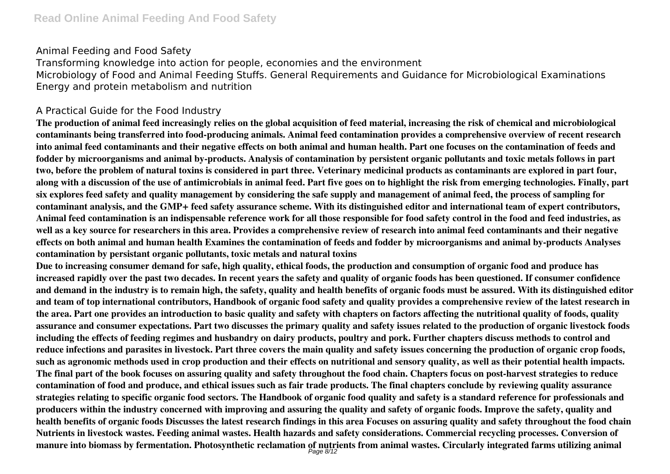#### Animal Feeding and Food Safety

Transforming knowledge into action for people, economies and the environment Microbiology of Food and Animal Feeding Stuffs. General Requirements and Guidance for Microbiological Examinations Energy and protein metabolism and nutrition

### A Practical Guide for the Food Industry

**The production of animal feed increasingly relies on the global acquisition of feed material, increasing the risk of chemical and microbiological contaminants being transferred into food-producing animals. Animal feed contamination provides a comprehensive overview of recent research into animal feed contaminants and their negative effects on both animal and human health. Part one focuses on the contamination of feeds and fodder by microorganisms and animal by-products. Analysis of contamination by persistent organic pollutants and toxic metals follows in part two, before the problem of natural toxins is considered in part three. Veterinary medicinal products as contaminants are explored in part four, along with a discussion of the use of antimicrobials in animal feed. Part five goes on to highlight the risk from emerging technologies. Finally, part six explores feed safety and quality management by considering the safe supply and management of animal feed, the process of sampling for contaminant analysis, and the GMP+ feed safety assurance scheme. With its distinguished editor and international team of expert contributors, Animal feed contamination is an indispensable reference work for all those responsible for food safety control in the food and feed industries, as well as a key source for researchers in this area. Provides a comprehensive review of research into animal feed contaminants and their negative effects on both animal and human health Examines the contamination of feeds and fodder by microorganisms and animal by-products Analyses contamination by persistant organic pollutants, toxic metals and natural toxins**

**Due to increasing consumer demand for safe, high quality, ethical foods, the production and consumption of organic food and produce has increased rapidly over the past two decades. In recent years the safety and quality of organic foods has been questioned. If consumer confidence and demand in the industry is to remain high, the safety, quality and health benefits of organic foods must be assured. With its distinguished editor and team of top international contributors, Handbook of organic food safety and quality provides a comprehensive review of the latest research in the area. Part one provides an introduction to basic quality and safety with chapters on factors affecting the nutritional quality of foods, quality assurance and consumer expectations. Part two discusses the primary quality and safety issues related to the production of organic livestock foods including the effects of feeding regimes and husbandry on dairy products, poultry and pork. Further chapters discuss methods to control and reduce infections and parasites in livestock. Part three covers the main quality and safety issues concerning the production of organic crop foods, such as agronomic methods used in crop production and their effects on nutritional and sensory quality, as well as their potential health impacts. The final part of the book focuses on assuring quality and safety throughout the food chain. Chapters focus on post-harvest strategies to reduce contamination of food and produce, and ethical issues such as fair trade products. The final chapters conclude by reviewing quality assurance strategies relating to specific organic food sectors. The Handbook of organic food quality and safety is a standard reference for professionals and producers within the industry concerned with improving and assuring the quality and safety of organic foods. Improve the safety, quality and health benefits of organic foods Discusses the latest research findings in this area Focuses on assuring quality and safety throughout the food chain Nutrients in livestock wastes. Feeding animal wastes. Health hazards and safety considerations. Commercial recycling processes. Conversion of manure into biomass by fermentation. Photosynthetic reclamation of nutrients from animal wastes. Circularly integrated farms utilizing animal** Page 8/12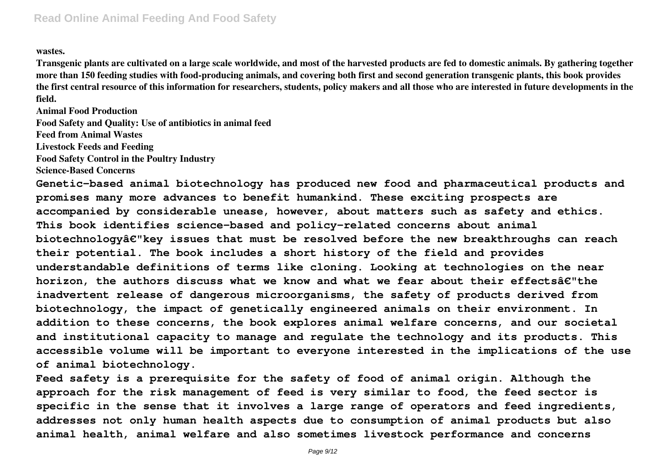#### **wastes.**

**Transgenic plants are cultivated on a large scale worldwide, and most of the harvested products are fed to domestic animals. By gathering together more than 150 feeding studies with food-producing animals, and covering both first and second generation transgenic plants, this book provides the first central resource of this information for researchers, students, policy makers and all those who are interested in future developments in the field.**

**Animal Food Production**

**Food Safety and Quality: Use of antibiotics in animal feed**

**Feed from Animal Wastes**

**Livestock Feeds and Feeding**

**Food Safety Control in the Poultry Industry**

**Science-Based Concerns**

**Genetic-based animal biotechnology has produced new food and pharmaceutical products and promises many more advances to benefit humankind. These exciting prospects are accompanied by considerable unease, however, about matters such as safety and ethics. This book identifies science-based and policy-related concerns about animal biotechnologyâ€"key issues that must be resolved before the new breakthroughs can reach their potential. The book includes a short history of the field and provides understandable definitions of terms like cloning. Looking at technologies on the near horizon, the authors discuss what we know and what we fear about their effectsâ€"the inadvertent release of dangerous microorganisms, the safety of products derived from biotechnology, the impact of genetically engineered animals on their environment. In addition to these concerns, the book explores animal welfare concerns, and our societal and institutional capacity to manage and regulate the technology and its products. This accessible volume will be important to everyone interested in the implications of the use of animal biotechnology.**

**Feed safety is a prerequisite for the safety of food of animal origin. Although the approach for the risk management of feed is very similar to food, the feed sector is specific in the sense that it involves a large range of operators and feed ingredients, addresses not only human health aspects due to consumption of animal products but also animal health, animal welfare and also sometimes livestock performance and concerns**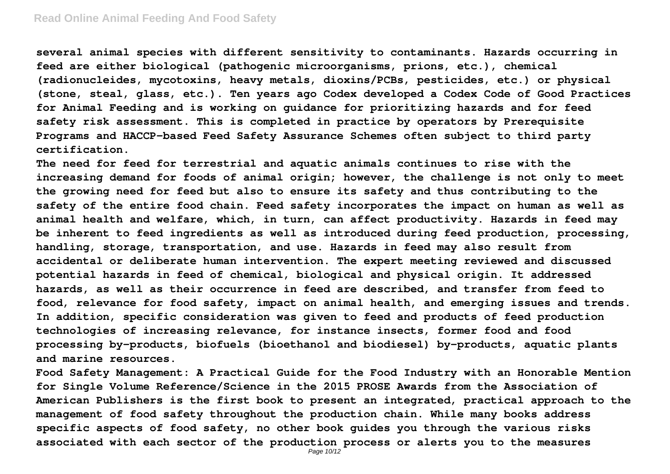#### **Read Online Animal Feeding And Food Safety**

**several animal species with different sensitivity to contaminants. Hazards occurring in feed are either biological (pathogenic microorganisms, prions, etc.), chemical (radionucleides, mycotoxins, heavy metals, dioxins/PCBs, pesticides, etc.) or physical (stone, steal, glass, etc.). Ten years ago Codex developed a Codex Code of Good Practices for Animal Feeding and is working on guidance for prioritizing hazards and for feed safety risk assessment. This is completed in practice by operators by Prerequisite Programs and HACCP-based Feed Safety Assurance Schemes often subject to third party certification.**

**The need for feed for terrestrial and aquatic animals continues to rise with the increasing demand for foods of animal origin; however, the challenge is not only to meet the growing need for feed but also to ensure its safety and thus contributing to the safety of the entire food chain. Feed safety incorporates the impact on human as well as animal health and welfare, which, in turn, can affect productivity. Hazards in feed may be inherent to feed ingredients as well as introduced during feed production, processing, handling, storage, transportation, and use. Hazards in feed may also result from accidental or deliberate human intervention. The expert meeting reviewed and discussed potential hazards in feed of chemical, biological and physical origin. It addressed hazards, as well as their occurrence in feed are described, and transfer from feed to food, relevance for food safety, impact on animal health, and emerging issues and trends. In addition, specific consideration was given to feed and products of feed production technologies of increasing relevance, for instance insects, former food and food processing by-products, biofuels (bioethanol and biodiesel) by-products, aquatic plants and marine resources.**

**Food Safety Management: A Practical Guide for the Food Industry with an Honorable Mention for Single Volume Reference/Science in the 2015 PROSE Awards from the Association of American Publishers is the first book to present an integrated, practical approach to the management of food safety throughout the production chain. While many books address specific aspects of food safety, no other book guides you through the various risks associated with each sector of the production process or alerts you to the measures**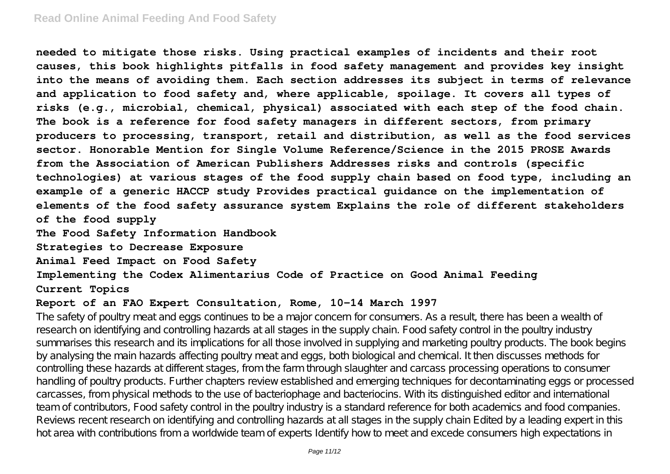**needed to mitigate those risks. Using practical examples of incidents and their root causes, this book highlights pitfalls in food safety management and provides key insight into the means of avoiding them. Each section addresses its subject in terms of relevance and application to food safety and, where applicable, spoilage. It covers all types of risks (e.g., microbial, chemical, physical) associated with each step of the food chain. The book is a reference for food safety managers in different sectors, from primary producers to processing, transport, retail and distribution, as well as the food services sector. Honorable Mention for Single Volume Reference/Science in the 2015 PROSE Awards from the Association of American Publishers Addresses risks and controls (specific technologies) at various stages of the food supply chain based on food type, including an example of a generic HACCP study Provides practical guidance on the implementation of elements of the food safety assurance system Explains the role of different stakeholders of the food supply**

**The Food Safety Information Handbook**

**Strategies to Decrease Exposure**

**Animal Feed Impact on Food Safety**

**Implementing the Codex Alimentarius Code of Practice on Good Animal Feeding Current Topics**

#### **Report of an FAO Expert Consultation, Rome, 10-14 March 1997**

The safety of poultry meat and eggs continues to be a major concern for consumers. As a result, there has been a wealth of research on identifying and controlling hazards at all stages in the supply chain. Food safety control in the poultry industry summarises this research and its implications for all those involved in supplying and marketing poultry products. The book begins by analysing the main hazards affecting poultry meat and eggs, both biological and chemical. It then discusses methods for controlling these hazards at different stages, from the farm through slaughter and carcass processing operations to consumer handling of poultry products. Further chapters review established and emerging techniques for decontaminating eggs or processed carcasses, from physical methods to the use of bacteriophage and bacteriocins. With its distinguished editor and international team of contributors, Food safety control in the poultry industry is a standard reference for both academics and food companies. Reviews recent research on identifying and controlling hazards at all stages in the supply chain Edited by a leading expert in this hot area with contributions from a worldwide team of experts Identify how to meet and excede consumers high expectations in